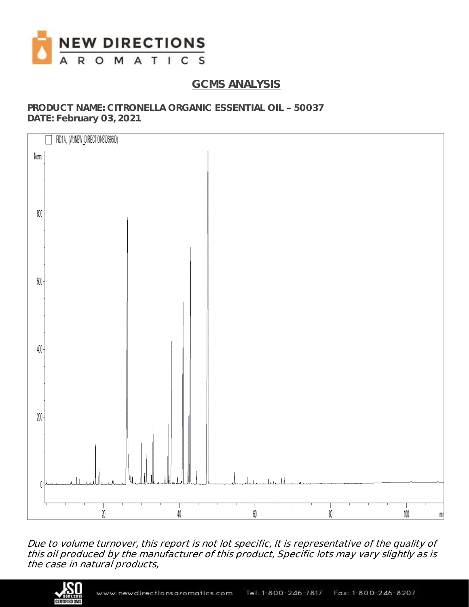

# **GCMS ANALYSIS**

**PRODUCT NAME: CITRONELLA ORGANIC ESSENTIAL OIL 50037 DATE: February 03, 2021**



Due to volume turnover, this report is not lot specific, It is representative of the quality of this oil produced by the manufacturer of this product, Specific lots may vary slightly as is the case in natural products,

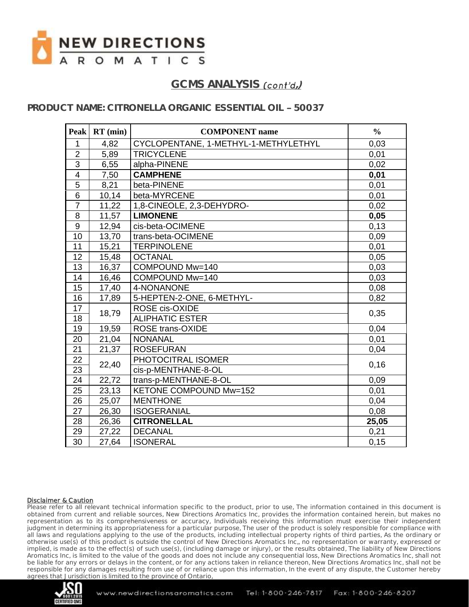

### **PRODUCT NAME: CITRONELLA ORGANIC ESSENTIAL OIL 50037**

| <b>Peak</b>             | $RT$ (min) | <b>COMPONENT</b> name                | $\frac{0}{0}$ |
|-------------------------|------------|--------------------------------------|---------------|
| $\mathbf{1}$            | 4,82       | CYCLOPENTANE, 1-METHYL-1-METHYLETHYL | 0,03          |
| $\overline{2}$          | 5,89       | <b>TRICYCLENE</b>                    | 0,01          |
| 3                       | 6,55       | alpha-PINENE                         | 0,02          |
| $\overline{\mathbf{4}}$ | 7,50       | <b>CAMPHENE</b>                      | 0,01          |
| $\overline{5}$          | 8,21       | beta-PINENE                          | 0,01          |
| $6\phantom{1}$          | 10,14      | beta-MYRCENE                         | 0,01          |
| $\overline{7}$          | 11,22      | 1,8-CINEOLE, 2,3-DEHYDRO-            | 0,02          |
| 8                       | 11,57      | <b>LIMONENE</b>                      | 0,05          |
| $\overline{9}$          | 12,94      | cis-beta-OCIMENE                     | 0,13          |
| 10                      | 13,70      | trans-beta-OCIMENE                   | 0,09          |
| 11                      | 15,21      | <b>TERPINOLENE</b>                   | 0,01          |
| 12                      | 15,48      | <b>OCTANAL</b>                       | 0,05          |
| 13                      | 16,37      | COMPOUND Mw=140                      | 0,03          |
| 14                      | 16,46      | COMPOUND Mw=140                      | 0,03          |
| 15                      | 17,40      | 4-NONANONE                           | 0,08          |
| 16                      | 17,89      | 5-HEPTEN-2-ONE, 6-METHYL-            | 0,82          |
| 17                      | 18,79      | ROSE cis-OXIDE                       | 0,35          |
| 18                      |            | <b>ALIPHATIC ESTER</b>               |               |
| 19                      | 19,59      | <b>ROSE trans-OXIDE</b>              | 0,04          |
| 20                      | 21,04      | <b>NONANAL</b>                       | 0,01          |
| 21                      | 21,37      | <b>ROSEFURAN</b>                     | 0,04          |
| 22                      |            | PHOTOCITRAL ISOMER                   |               |
| 23                      | 22,40      | cis-p-MENTHANE-8-OL                  | 0,16          |
| 24                      | 22,72      | trans-p-MENTHANE-8-OL                | 0,09          |
| 25                      | 23,13      | <b>KETONE COMPOUND Mw=152</b>        | 0,01          |
| 26                      | 25,07      | <b>MENTHONE</b>                      | 0,04          |
| 27                      | 26,30      | <b>ISOGERANIAL</b>                   | 0,08          |
| 28                      | 26,36      | <b>CITRONELLAL</b>                   | 25,05         |
| 29                      | 27,22      | <b>DECANAL</b>                       | 0,21          |
| $\overline{30}$         | 27,64      | <b>ISONERAL</b>                      | 0, 15         |

#### Disclaimer & Caution

Please refer to all relevant technical information specific to the product, prior to use, The information contained in this document is obtained from current and reliable sources, New Directions Aromatics Inc, provides the information contained herein, but makes no representation as to its comprehensiveness or accuracy, Individuals receiving this information must exercise their independent judgment in determining its appropriateness for a particular purpose, The user of the product is solely responsible for compliance with all laws and regulations applying to the use of the products, including intellectual property rights of third parties, As the ordinary or otherwise use(s) of this product is outside the control of New Directions Aromatics Inc,, no representation or warranty, expressed or implied, is made as to the effect(s) of such use(s), (including damage or injury), or the results obtained, The liability of New Directions Aromatics Inc, is limited to the value of the goods and does not include any consequential loss, New Directions Aromatics Inc, shall not be liable for any errors or delays in the content, or for any actions taken in reliance thereon, New Directions Aromatics Inc, shall not be responsible for any damages resulting from use of or reliance upon this information, In the event of any dispute, the Customer hereby agrees that Jurisdiction is limited to the province of Ontario,

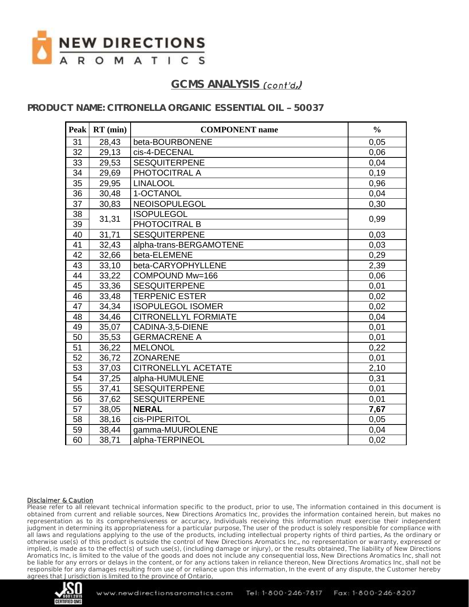

### **PRODUCT NAME: CITRONELLA ORGANIC ESSENTIAL OIL 50037**

| <b>Peak</b>     | $RT$ (min) | <b>COMPONENT</b> name       | $\frac{0}{0}$ |
|-----------------|------------|-----------------------------|---------------|
| 31              | 28,43      | beta-BOURBONENE             | 0,05          |
| 32              | 29,13      | cis-4-DECENAL               | 0,06          |
| 33              | 29,53      | <b>SESQUITERPENE</b>        | 0,04          |
| 34              | 29,69      | PHOTOCITRAL A               | 0, 19         |
| 35              | 29,95      | <b>LINALOOL</b>             | 0,96          |
| 36              | 30,48      | 1-OCTANOL                   | 0,04          |
| $\overline{37}$ | 30,83      | <b>NEOISOPULEGOL</b>        | 0,30          |
| 38              | 31,31      | <b>ISOPULEGOL</b>           |               |
| 39              |            | PHOTOCITRAL B               | 0,99          |
| 40              | 31,71      | <b>SESQUITERPENE</b>        | 0,03          |
| 41              | 32,43      | alpha-trans-BERGAMOTENE     | 0,03          |
| 42              | 32,66      | beta-ELEMENE                | 0,29          |
| 43              | 33,10      | beta-CARYOPHYLLENE          | 2,39          |
| 44              | 33,22      | COMPOUND Mw=166             | 0,06          |
| 45              | 33,36      | <b>SESQUITERPENE</b>        | 0,01          |
| 46              | 33,48      | <b>TERPENIC ESTER</b>       | 0,02          |
| 47              | 34,34      | <b>ISOPULEGOL ISOMER</b>    | 0,02          |
| 48              | 34,46      | <b>CITRONELLYL FORMIATE</b> | 0,04          |
| 49              | 35,07      | CADINA-3,5-DIENE            | 0,01          |
| 50              | 35,53      | <b>GERMACRENE A</b>         | 0,01          |
| 51              | 36,22      | <b>MELONOL</b>              | 0,22          |
| 52              | 36,72      | <b>ZONARENE</b>             | 0,01          |
| 53              | 37,03      | CITRONELLYL ACETATE         | 2,10          |
| 54              | 37,25      | alpha-HUMULENE              | 0,31          |
| 55              | 37,41      | <b>SESQUITERPENE</b>        | 0,01          |
| 56              | 37,62      | <b>SESQUITERPENE</b>        | 0,01          |
| 57              | 38,05      | <b>NERAL</b>                | 7,67          |
| 58              | 38,16      | cis-PIPERITOL               | 0,05          |
| 59              | 38,44      | gamma-MUUROLENE             | 0,04          |
| 60              | 38,71      | alpha-TERPINEOL             | 0,02          |

#### Disclaimer & Caution

Please refer to all relevant technical information specific to the product, prior to use, The information contained in this document is obtained from current and reliable sources, New Directions Aromatics Inc, provides the information contained herein, but makes no representation as to its comprehensiveness or accuracy, Individuals receiving this information must exercise their independent judgment in determining its appropriateness for a particular purpose, The user of the product is solely responsible for compliance with all laws and regulations applying to the use of the products, including intellectual property rights of third parties, As the ordinary or otherwise use(s) of this product is outside the control of New Directions Aromatics Inc,, no representation or warranty, expressed or implied, is made as to the effect(s) of such use(s), (including damage or injury), or the results obtained, The liability of New Directions Aromatics Inc, is limited to the value of the goods and does not include any consequential loss, New Directions Aromatics Inc, shall not be liable for any errors or delays in the content, or for any actions taken in reliance thereon, New Directions Aromatics Inc, shall not be responsible for any damages resulting from use of or reliance upon this information, In the event of any dispute, the Customer hereby agrees that Jurisdiction is limited to the province of Ontario,

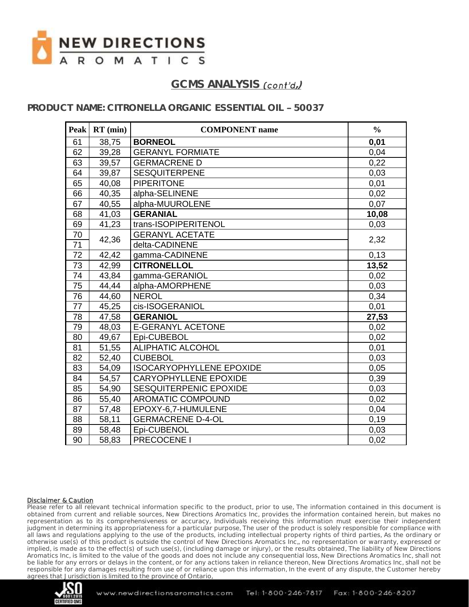

### **PRODUCT NAME: CITRONELLA ORGANIC ESSENTIAL OIL 50037**

|        | Peak   $RT$ (min) | <b>COMPONENT</b> name           | $\frac{0}{0}$ |
|--------|-------------------|---------------------------------|---------------|
| 61     | 38,75             | <b>BORNEOL</b>                  | 0,01          |
| 62     | 39,28             | <b>GERANYL FORMIATE</b>         | 0,04          |
| 63     | 39,57             | <b>GERMACRENE D</b>             | 0,22          |
| 64     | 39,87             | <b>SESQUITERPENE</b>            | 0,03          |
| 65     | 40,08             | <b>PIPERITONE</b>               | 0,01          |
| 66     | 40,35             | alpha-SELINENE                  | 0,02          |
| 67     | 40,55             | alpha-MUUROLENE                 | 0,07          |
| 68     | 41,03             | <b>GERANIAL</b>                 | 10,08         |
| 69     | 41,23             | trans-ISOPIPERITENOL            | 0,03          |
| $70\,$ |                   | <b>GERANYL ACETATE</b>          |               |
| 71     | 42,36             | delta-CADINENE                  | 2,32          |
| 72     | 42,42             | gamma-CADINENE                  | 0,13          |
| 73     | 42,99             | <b>CITRONELLOL</b>              | 13,52         |
| 74     | 43,84             | gamma-GERANIOL                  | 0,02          |
| 75     | 44,44             | alpha-AMORPHENE                 | 0,03          |
| 76     | 44,60             | <b>NEROL</b>                    | 0,34          |
| 77     | 45,25             | cis-ISOGERANIOL                 | 0,01          |
| 78     | 47,58             | <b>GERANIOL</b>                 | 27,53         |
| 79     | 48,03             | <b>E-GERANYL ACETONE</b>        | 0,02          |
| 80     | 49,67             | Epi-CUBEBOL                     | 0,02          |
| 81     | 51,55             | <b>ALIPHATIC ALCOHOL</b>        | 0,01          |
| 82     | 52,40             | <b>CUBEBOL</b>                  | 0,03          |
| 83     | 54,09             | <b>ISOCARYOPHYLLENE EPOXIDE</b> | 0,05          |
| 84     | 54,57             | <b>CARYOPHYLLENE EPOXIDE</b>    | 0,39          |
| 85     | 54,90             | SESQUITERPENIC EPOXIDE          | 0,03          |
| 86     | 55,40             | <b>AROMATIC COMPOUND</b>        | 0,02          |
| 87     | 57,48             | EPOXY-6,7-HUMULENE              | 0,04          |
| 88     | 58,11             | <b>GERMACRENE D-4-OL</b>        | 0.19          |
| 89     | 58,48             | Epi-CUBENOL                     | 0,03          |
| 90     | 58,83             | PRECOCENE I                     | 0,02          |

#### Disclaimer & Caution

Please refer to all relevant technical information specific to the product, prior to use, The information contained in this document is obtained from current and reliable sources, New Directions Aromatics Inc, provides the information contained herein, but makes no representation as to its comprehensiveness or accuracy, Individuals receiving this information must exercise their independent judgment in determining its appropriateness for a particular purpose, The user of the product is solely responsible for compliance with all laws and regulations applying to the use of the products, including intellectual property rights of third parties, As the ordinary or otherwise use(s) of this product is outside the control of New Directions Aromatics Inc,, no representation or warranty, expressed or implied, is made as to the effect(s) of such use(s), (including damage or injury), or the results obtained, The liability of New Directions Aromatics Inc, is limited to the value of the goods and does not include any consequential loss, New Directions Aromatics Inc, shall not be liable for any errors or delays in the content, or for any actions taken in reliance thereon, New Directions Aromatics Inc, shall not be responsible for any damages resulting from use of or reliance upon this information, In the event of any dispute, the Customer hereby agrees that Jurisdiction is limited to the province of Ontario,